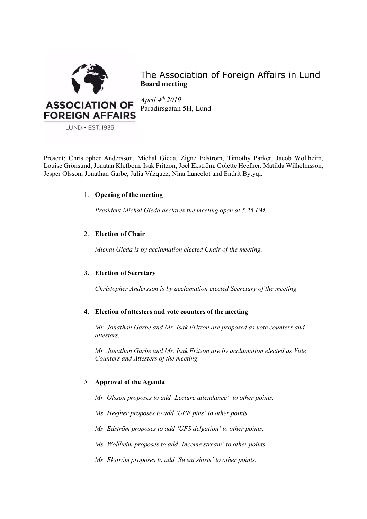

The Association of Foreign Affairs in Lund **Board meeting**

*April 4th 2019* Paradirsgatan 5H, Lund

Present: Christopher Andersson, Michal Gieda, Zigne Edström, Timothy Parker, Jacob Wollheim, Louise Grönsund, Jonatan Klefbom, Isak Fritzon, Joel Ekström, Colette Heefner, Matilda Wilhelmsson, Jesper Olsson, Jonathan Garbe, Julia Vázquez, Nina Lancelot and Endrit Bytyqi.

# 1. **Opening of the meeting**

*President Michal Gieda declares the meeting open at 5.25 PM.*

# 2. **Election of Chair**

*Michal Gieda is by acclamation elected Chair of the meeting.*

# **3. Election of Secretary**

*Christopher Andersson is by acclamation elected Secretary of the meeting.*

### **4. Election of attesters and vote counters of the meeting**

*Mr. Jonathan Garbe and Mr. Isak Fritzon are proposed as vote counters and attesters.* 

*Mr. Jonathan Garbe and Mr. Isak Fritzon are by acclamation elected as Vote Counters and Attesters of the meeting.* 

# *5.* **Approval of the Agenda**

*Mr. Olsson proposes to add 'Lecture attendance' to other points.*

*Ms. Heefner proposes to add 'UPF pins' to other points.*

*Ms. Edström proposes to add 'UFS delgation' to other points.* 

*Ms. Wollheim proposes to add 'Income stream' to other points.* 

*Ms. Ekström proposes to add 'Sweat shirts' to other points.*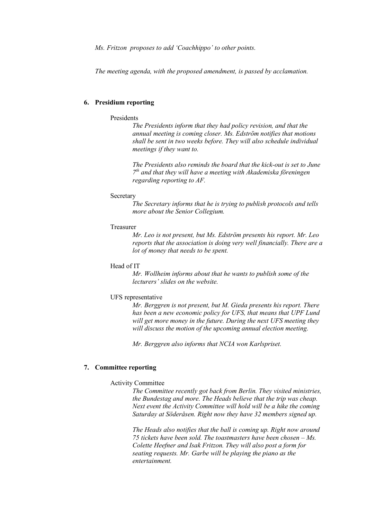*Ms. Fritzon proposes to add 'Coachhippo' to other points.* 

*The meeting agenda, with the proposed amendment, is passed by acclamation.* 

### **6. Presidium reporting**

### Presidents

*The Presidents inform that they had policy revision, and that the annual meeting is coming closer. Ms. Edström notifies that motions shall be sent in two weeks before. They will also schedule individual meetings if they want to.* 

*The Presidents also reminds the board that the kick-out is set to June 7th and that they will have a meeting with Akademiska föreningen regarding reporting to AF.* 

#### **Secretary**

*The Secretary informs that he is trying to publish protocols and tells more about the Senior Collegium.*

#### Treasurer

*Mr. Leo is not present, but Ms. Edström presents his report. Mr. Leo reports that the association is doing very well financially. There are a lot of money that needs to be spent.*

## Head of IT

*Mr. Wollheim informs about that he wants to publish some of the lecturers' slides on the website.* 

#### UFS representative

*Mr. Berggren is not present, but M. Gieda presents his report. There has been a new economic policy for UFS, that means that UPF Lund will get more money in the future. During the next UFS meeting they will discuss the motion of the upcoming annual election meeting.* 

*Mr. Berggren also informs that NCIA won Karlspriset.* 

### **7. Committee reporting**

#### Activity Committee

*The Committee recently got back from Berlin. They visited ministries, the Bundestag and more. The Heads believe that the trip was cheap. Next event the Activity Committee will hold will be a hike the coming Saturday at Söderåsen. Right now they have 32 members signed up.* 

*The Heads also notifies that the ball is coming up. Right now around 75 tickets have been sold. The toastmasters have been chosen – Ms. Colette Heefner and Isak Fritzon. They will also post a form for seating requests. Mr. Garbe will be playing the piano as the entertainment.*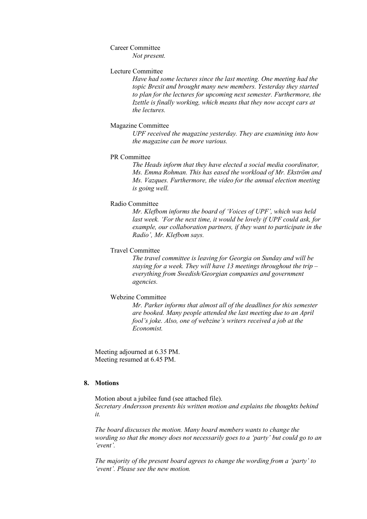### Career Committee

*Not present.* 

## Lecture Committee

*Have had some lectures since the last meeting. One meeting had the topic Brexit and brought many new members. Yesterday they started to plan for the lectures for upcoming next semester. Furthermore, the Izettle is finally working, which means that they now accept cars at the lectures.*

### Magazine Committee

*UPF received the magazine yesterday. They are examining into how the magazine can be more various.* 

#### PR Committee

*The Heads inform that they have elected a social media coordinator, Ms. Emma Rohman. This has eased the workload of Mr. Ekström and Ms. Vazques. Furthermore, the video for the annual election meeting is going well.*

#### Radio Committee

*Mr. Klefbom informs the board of 'Voices of UPF', which was held last week. 'For the next time, it would be lovely if UPF could ask, for example, our collaboration partners, if they want to participate in the Radio', Mr. Klefbom says.*

#### Travel Committee

*The travel committee is leaving for Georgia on Sunday and will be staying for a week. They will have 13 meetings throughout the trip – everything from Swedish/Georgian companies and government agencies.*

#### Webzine Committee

*Mr. Parker informs that almost all of the deadlines for this semester are booked. Many people attended the last meeting due to an April fool's joke. Also, one of webzine's writers received a job at the Economist.* 

Meeting adjourned at 6.35 PM. Meeting resumed at 6.45 PM.

### **8. Motions**

Motion about a jubilee fund (see attached file). *Secretary Andersson presents his written motion and explains the thoughts behind it.* 

*The board discusses the motion. Many board members wants to change the wording so that the money does not necessarily goes to a 'party' but could go to an 'event'.* 

*The majority of the present board agrees to change the wording from a 'party' to 'event'. Please see the new motion.*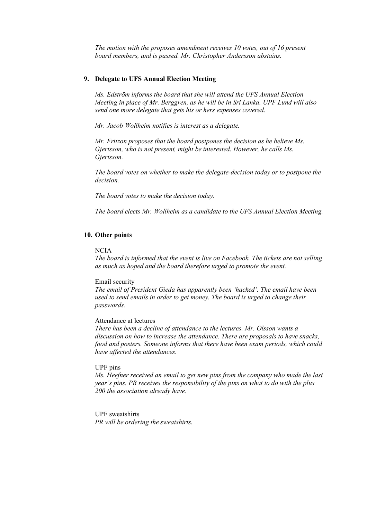*The motion with the proposes amendment receives 10 votes, out of 16 present board members, and is passed. Mr. Christopher Andersson abstains.* 

### **9. Delegate to UFS Annual Election Meeting**

*Ms. Edström informs the board that she will attend the UFS Annual Election Meeting in place of Mr. Berggren, as he will be in Sri Lanka. UPF Lund will also send one more delegate that gets his or hers expenses covered.* 

*Mr. Jacob Wollheim notifies is interest as a delegate.* 

*Mr. Fritzon proposes that the board postpones the decision as he believe Ms. Gjertsson, who is not present, might be interested. However, he calls Ms. Gjertsson.* 

*The board votes on whether to make the delegate-decision today or to postpone the decision.* 

*The board votes to make the decision today.* 

*The board elects Mr. Wollheim as a candidate to the UFS Annual Election Meeting.* 

### **10. Other points**

#### NCIA

*The board is informed that the event is live on Facebook. The tickets are not selling as much as hoped and the board therefore urged to promote the event.* 

#### Email security

*The email of President Gieda has apparently been 'hacked'. The email have been used to send emails in order to get money. The board is urged to change their passwords.* 

### Attendance at lectures

*There has been a decline of attendance to the lectures. Mr. Olsson wants a discussion on how to increase the attendance. There are proposals to have snacks, food and posters. Someone informs that there have been exam periods, which could have affected the attendances.* 

## UPF pins

*Ms. Heefner received an email to get new pins from the company who made the last year's pins. PR receives the responsibility of the pins on what to do with the plus 200 the association already have.* 

UPF sweatshirts *PR will be ordering the sweatshirts.*